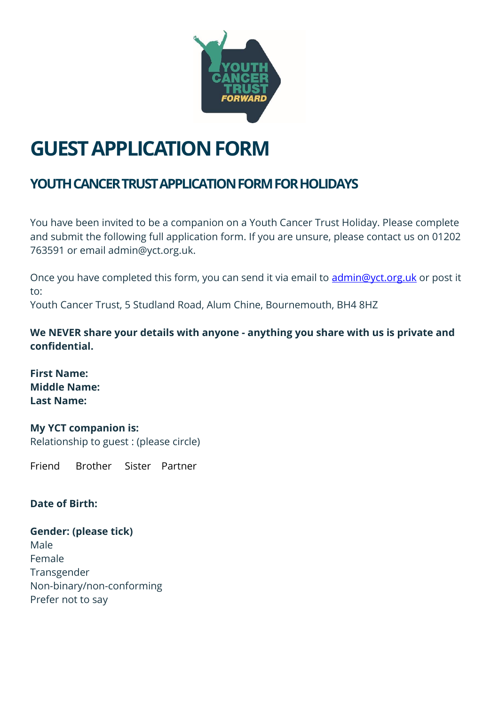

# **GUEST APPLICATION FORM**

# **YOUTH CANCER TRUST APPLICATION FORM FOR HOLIDAYS**

You have been invited to be a companion on a Youth Cancer Trust Holiday. Please complete and submit the following full application form. If you are unsure, please contact us on 01202 763591 or email admin@yct.org.uk.

Once you have completed this form, you can send it via email to *admin@yct.org.uk* or post it to: Youth Cancer Trust, 5 Studland Road, Alum Chine, Bournemouth, BH4 8HZ

**We NEVER share your details with anyone - anything you share with us is private and confidential.** 

**First Name: Middle Name: Last Name:** 

**My YCT companion is:**  Relationship to guest : (please circle)

Friend Brother Sister Partner

#### **Date of Birth:**

**Gender: (please tick)**  Male Female Transgender Non-binary/non-conforming Prefer not to say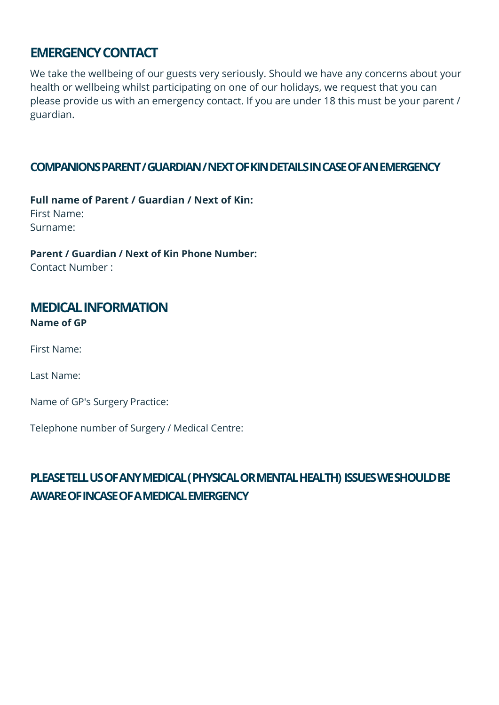### **EMERGENCY CONTACT**

We take the wellbeing of our guests very seriously. Should we have any concerns about your health or wellbeing whilst participating on one of our holidays, we request that you can please provide us with an emergency contact. If you are under 18 this must be your parent / guardian.

#### **COMPANIONS PARENT / GUARDIAN / NEXT OF KIN DETAILS IN CASE OF AN EMERGENCY**

**Full name of Parent / Guardian / Next of Kin:**  First Name: Surname:

**Parent / Guardian / Next of Kin Phone Number:**  Contact Number :

#### **MEDICAL INFORMATION Name of GP**

First Name:

Last Name:

Name of GP's Surgery Practice:

Telephone number of Surgery / Medical Centre:

## **PLEASE TELL US OF ANY MEDICAL ( PHYSICAL OR MENTAL HEALTH) ISSUES WE SHOULD BE AWARE OF INCASE OF A MEDICAL EMERGENCY**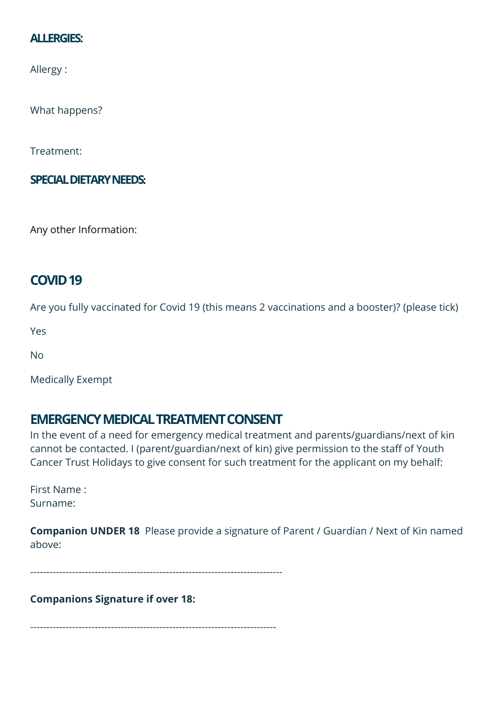#### **ALLERGIES:**

Allergy :

What happens?

Treatment:

**SPECIAL DIETARY NEEDS:** 

Any other Information:

## **COVID 19**

Are you fully vaccinated for Covid 19 (this means 2 vaccinations and a booster)? (please tick)

Yes

No

Medically Exempt

## **EMERGENCY MEDICAL TREATMENT CONSENT**

In the event of a need for emergency medical treatment and parents/guardians/next of kin cannot be contacted. I (parent/guardian/next of kin) give permission to the staff of Youth Cancer Trust Holidays to give consent for such treatment for the applicant on my behalf:

First Name : Surname:

**Companion UNDER 18** Please provide a signature of Parent / Guardian / Next of Kin named above:

------------------------------------------------------------------------------

**Companions Signature if over 18:** 

----------------------------------------------------------------------------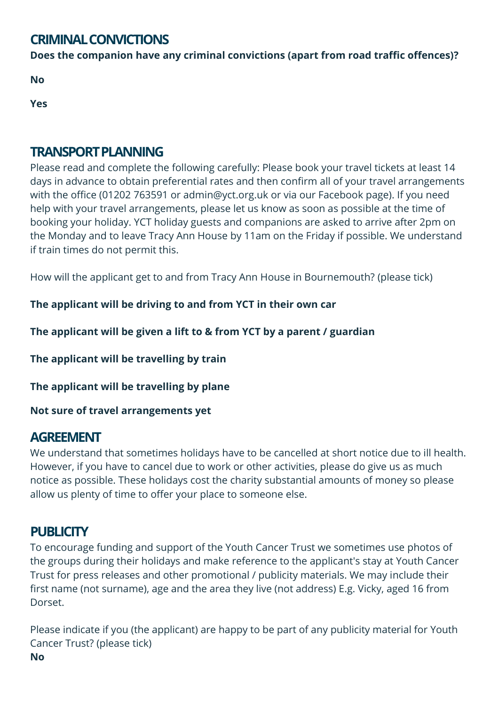## **CRIMINAL CONVICTIONS**

**Does the companion have any criminal convictions (apart from road traffic offences)?** 

**No**

**Yes** 

## **TRANSPORT PLANNING**

Please read and complete the following carefully: Please book your travel tickets at least 14 days in advance to obtain preferential rates and then confirm all of your travel arrangements with the office (01202 763591 or admin@yct.org.uk or via our Facebook page). If you need help with your travel arrangements, please let us know as soon as possible at the time of booking your holiday. YCT holiday guests and companions are asked to arrive after 2pm on the Monday and to leave Tracy Ann House by 11am on the Friday if possible. We understand if train times do not permit this.

How will the applicant get to and from Tracy Ann House in Bournemouth? (please tick)

**The applicant will be driving to and from YCT in their own car** 

**The applicant will be given a lift to & from YCT by a parent / guardian** 

**The applicant will be travelling by train** 

**The applicant will be travelling by plane** 

**Not sure of travel arrangements yet** 

## **AGREEMENT**

We understand that sometimes holidays have to be cancelled at short notice due to ill health. However, if you have to cancel due to work or other activities, please do give us as much notice as possible. These holidays cost the charity substantial amounts of money so please allow us plenty of time to offer your place to someone else.

# **PUBLICITY**

To encourage funding and support of the Youth Cancer Trust we sometimes use photos of the groups during their holidays and make reference to the applicant's stay at Youth Cancer Trust for press releases and other promotional / publicity materials. We may include their first name (not surname), age and the area they live (not address) E.g. Vicky, aged 16 from Dorset.

Please indicate if you (the applicant) are happy to be part of any publicity material for Youth Cancer Trust? (please tick) **No**